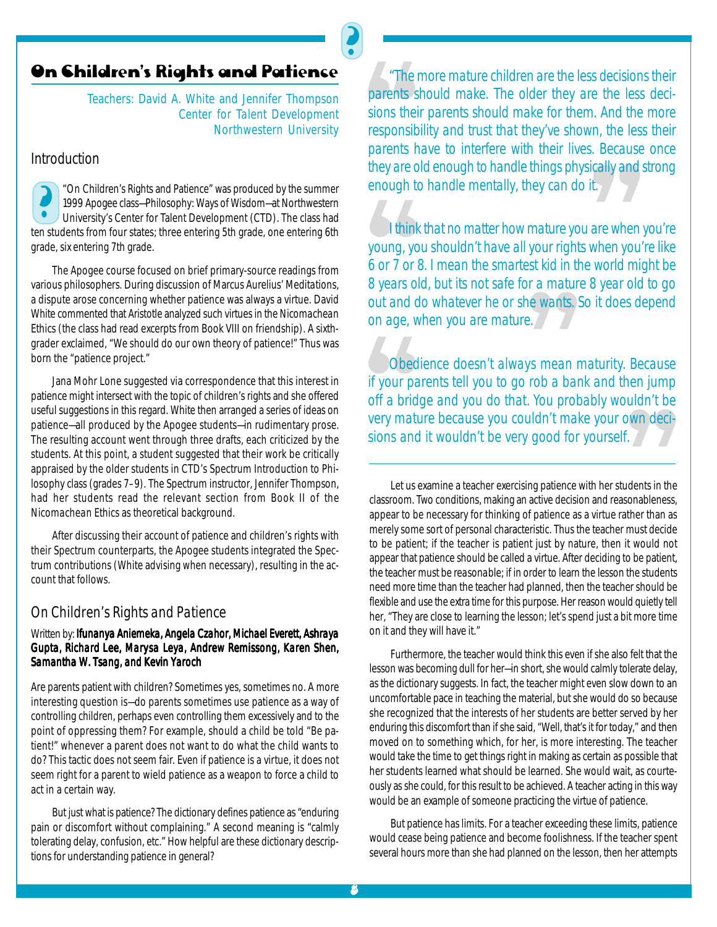## <mark>On Children's Rights and Patience</mark>

Teachers: David A. White and Jennifer Thompson *Center for Talent Development Northwestern University*

J

## *Introduction*

"On Children's Rights and Patience" was produced by the summer 1999 Apogee class—Philosophy: Ways of Wisdom—at Northwestern University's Center for Talent Development (CTD). The class had ten students from four states; three entering 5th grade, one entering 6th grade, six entering 7th grade.

The Apogee course focused on brief primary-source readings from various philosophers. During discussion of Marcus Aurelius' *Meditations*, a dispute arose concerning whether patience was always a virtue. David White commented that Aristotle analyzed such virtues in the *Nicomachean Ethics* (the class had read excerpts from Book VIII on friendship). A sixthgrader exclaimed, "We should do our own theory of patience!" Thus was born the "patience project."

Jana Mohr Lone suggested via correspondence that this interest in patience might intersect with the topic of children's rights and she offered useful suggestions in this regard. White then arranged a series of ideas on patience—all produced by the Apogee students—in rudimentary prose. The resulting account went through three drafts, each criticized by the students. At this point, a student suggested that their work be critically appraised by the older students in CTD's Spectrum Introduction to Philosophy class (grades 7–9). The Spectrum instructor, Jennifer Thompson, had her students read the relevant section from Book II of the *Nicomachean Ethics* as theoretical background.

After discussing their account of patience and children's rights with their Spectrum counterparts, the Apogee students integrated the Spectrum contributions (White advising when necessary), resulting in the account that follows.

## *On Children's Rights and Patience*

## Written by: *Ifunanya Aniemeka, Angela Czahor, Michael Everett, Ashraya Gupta, Richard Lee, Marysa Leya, Andrew Remissong, Karen Shen, Samantha W. Tsang, and Kevin Yaroch*

Are parents patient with children? Sometimes yes, sometimes no. A more interesting question is—do parents sometimes *use* patience as a way of controlling children, perhaps even controlling them excessively and to the point of oppressing them? For example, should a child be told "Be patient!" whenever a parent does not want to do what the child wants to do? This tactic does not seem fair. Even if patience is a virtue, it does not seem right for a parent to wield patience as a weapon to force a child to act in a certain way.

But just what *is* patience? The dictionary defines patience as "enduring pain or discomfort without complaining." A second meaning is "calmly tolerating delay, confusion, etc." How helpful are these dictionary descriptions for understanding patience in general?

<sup>"</sup>The r<br>parents s<br>sions their<br>responsib<br>parents h<br>they are o<br>enough to *"The more mature children are the less decisions their parents should make. The older they are the less decisions their parents should make for them. And the more responsibility and trust that they've shown, the less their parents have to interfere with their lives. Because once they are old enough to handle things physically and strong enough to handle mentally, they can do it.*

The Apoge class-Philosophy: Ways of Wisdom – at Northwestern<br>
1999 Apoge class-Philosophy: Ways of Wisdom – at Northwestern<br>
1999 Apoge class-Philosophy: Ways of Wisdom – at Northwestern<br>
1999 Apoge class-Philosophy: Ways I think<br>young, yo<br>6 or 7 or 8<br>8 years ol<br>out and d<br>on age, w *I think that no matter how mature you are when you're young, you shouldn't have all your rights when you're like 6 or 7 or 8. I mean the smartest kid in the world might be 8 years old, but its not safe for a mature 8 year old to go out and do whatever he or she wants. So it does depend on age, when you are mature.*

he wants.)<br>e./<br>ys mean n<br>rob a bar<br>! You prob<br>uldn't mak<br>! qood for Obed<br>
if your pa<br>
off a brid<br>
very matures *Obedience doesn't always mean maturity. Because if your parents tell you to go rob a bank and then jump off a bridge and you do that. You probably wouldn't be very mature because you couldn't make your own decisions and it wouldn't be very good for yourself.*

Let us examine a teacher exercising patience with her students in the classroom. Two conditions, making an active decision and reasonableness, appear to be necessary for thinking of patience as a *virtue* rather than as merely some sort of personal characteristic. Thus the teacher must *decide* to be patient; if the teacher is patient just by nature, then it would not appear that patience should be called a virtue. After deciding to be patient, the teacher must be *reasonable*; if in order to learn the lesson the students need more time than the teacher had planned, then the teacher should be flexible and use the extra time for this purpose. Her reason would quietly tell her, "They are close to learning the lesson; let's spend just a bit more time on it and they will have it." own deci-<br>f.<br>dents in the<br>sonableness,<br>ther than as<br>must *decide*<br>it would not

Furthermore, the teacher would think this even if she also felt that the lesson was becoming dull for her—in short, she would calmly tolerate delay, as the dictionary suggests. In fact, the teacher might even slow down to an uncomfortable pace in teaching the material, but she would do so because she recognized that the interests of her students are better served by her enduring this discomfort than if she said, "Well, that's it for today," and then moved on to something which, for her, is more interesting. The teacher would take the time to get things right in making as certain as possible that her students learned what should be learned. She would wait, as courteously as she could, for this result to be achieved. A teacher acting in this way would be an example of someone practicing the virtue of patience.

But patience has limits. For a teacher exceeding these limits, patience would cease being patience and become foolishness. If the teacher spent several hours more than she had planned on the lesson, then her attempts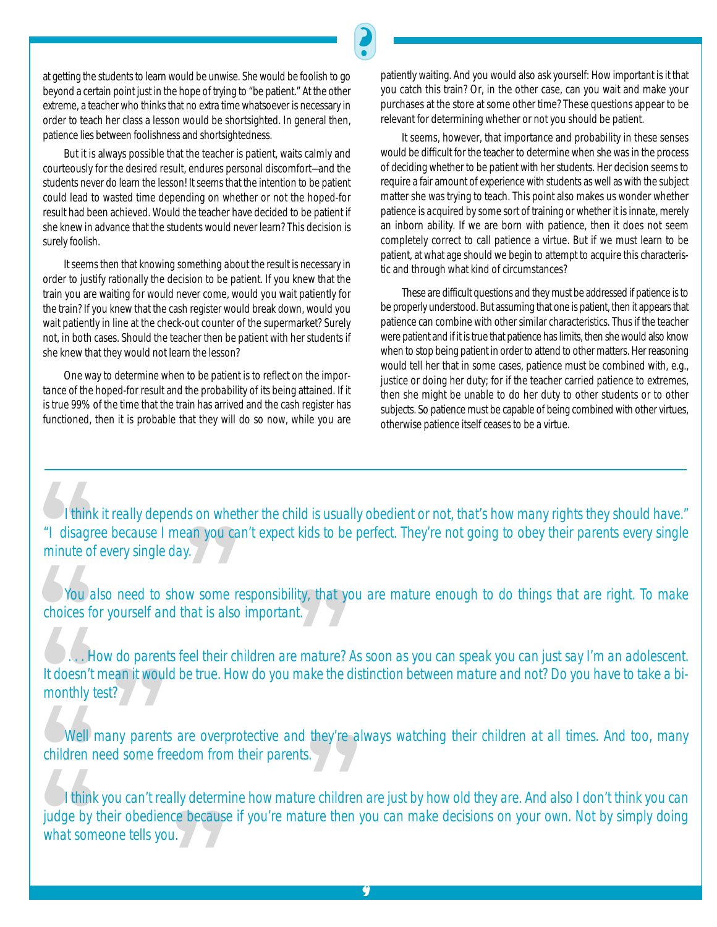But it is always possible that the teacher is patient, waits calmly and courteously for the desired result, endures personal discomfort—and the students never do learn the lesson! It seems that the intention to be patient could lead to wasted time depending on whether or not the hoped-for result had been achieved. Would the teacher have decided to be patient if she knew in advance that the students would never learn? This decision is surely foolish.

It seems then that *knowing something about the result* is necessary in order to justify rationally the decision to be patient. If you knew that the train you are waiting for would never come, would you wait patiently for the train? If you knew that the cash register would break down, would you wait patiently in line at the check-out counter of the supermarket? Surely not, in both cases. Should the teacher then be patient with her students if she knew that they would not learn the lesson?

One way to determine when to be patient is to reflect on the *importance* of the hoped-for result and the *probability* of its being attained. If it is true 99% of the time that the train has arrived and the cash register has functioned, then it is probable that they will do so now, while you are

patiently waiting. And you would also ask yourself: How important is it that you catch *this* train? Or, in the other case, can you wait and make your purchases at the store at some other time? These questions appear to be relevant for determining whether or not you should be patient.

It seems, however, that importance and probability in these senses would be difficult for the teacher to determine when she was in the process of deciding whether to be patient with her students. Her decision seems to require a fair amount of experience with students as well as with the subject matter she was trying to teach. This point also makes us wonder whether patience is *acquired* by some sort of training or whether it is *innate*, merely an inborn ability. If we are born with patience, then it does not seem completely correct to call patience a virtue. But if we must learn to be patient, at what age should we begin to attempt to acquire this characteristic and through what kind of circumstances?

These are difficult questions and they must be addressed if patience is to be properly understood. But assuming that one is patient, then it appears that patience can combine with other similar characteristics. Thus if the teacher were patient and if it is true that patience has limits, then she would also know when to *stop* being patient in order to attend to other matters. Her reasoning would tell her that in some cases, patience must be combined with, e.g., justice or doing her duty; for if the teacher carried patience to extremes, then she might be unable to do her duty to other students or to other subjects. So patience must be capable of being combined with other virtues, otherwise patience itself ceases to be a virtue.

Thin<br>
"I disagr<br>
minute of<br>
You a<br>
choices for *I think it really depends on whether the child is usually obedient or not, that's how many rights they should have." "I disagree because I mean you can't expect kids to be perfect. They're not going to obey their parents every single minute of every single day.*

J

ean you ca<br>y.<br>hat is also<br>eel their ch<br>eel their ch *You also need to show some responsibility, that you are mature enough to do things that are right. To make choices for yourself and that is also important.*

H<br>
It doesn't<br>
monthly t<br>
Well<br>
children r **CONTRACT CONTRACT CONTRACT CONTRACT CONTRACT CONTRACT CONTRACT CONTRACT CONTRACT CONTRACT CONTRACT CONTRACT CONTRACT CONTRACT CONTRACT CONTRACT CONTRACT CONTRACT CONTRACT CONTRACT CONTRACT CONTRACT CONTRACT CONTRACT CONTR** ity, that you<br>t.<br>make the c<br>nd they're  *. . . How do parents feel their children are mature? As soon as you can speak you can just say I'm an adolescent. It doesn't mean it would be true. How do you make the distinction between mature and not? Do you have to take a bimonthly test?*

ean it wout<br>!?<br>!! parent<br>!! pu can't re<br>!!! phedie! *Well many parents are overprotective and they're always watching their children at all times. And too, many children need some freedom from their parents.*

re berause<br>1. Well<br>
children r<br>
children r<br>
I think<br>
judge by<br>
what som I think<br>judge by<br>what som s.<br>s.<br>re children<br>ture then y *I think you can't really determine how mature children are just by how old they are. And also I don't think you can judge by their obedience because if you're mature then you can make decisions on your own. Not by simply doing what someone tells you.*